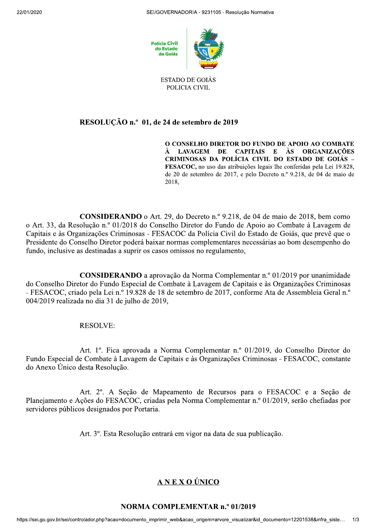



#### **ESTADO DE GOIÁS** POLICIA CIVIL

# RESOLUÇÃO n.º 01, de 24 de setembro de 2019

O CONSELHO DIRETOR DO FUNDO DE APOIO AO COMBATE À LAVAGEM DE CAPITAIS E ÀS ORGANIZAÇÕES CRIMINOSAS DA POLÍCIA CIVIL DO ESTADO DE GOIÁS -FESACOC, no uso das atribuições legais lhe conferidas pela Lei 19.828, de 20 de setembro de 2017, e pelo Decreto n.º 9.218, de 04 de maio de 2018.

CONSIDERANDO o Art. 29, do Decreto n.º 9.218, de 04 de maio de 2018, bem como o Art. 33, da Resolução n.º 01/2018 do Conselho Diretor do Fundo de Apoio ao Combate à Lavagem de Capitais e às Organizações Criminosas - FESACOC da Polícia Civil do Estado de Goiás, que prevê que o Presidente do Conselho Diretor poderá baixar normas complementares necessárias ao bom desempenho do fundo, inclusive as destinadas a suprir os casos omissos no regulamento,

**CONSIDERANDO** a aprovação da Norma Complementar n.º 01/2019 por unanimidade do Conselho Diretor do Fundo Especial de Combate à Lavagem de Capitais e às Organizações Criminosas - FESACOC, criado pela Lei n.º 19.828 de 18 de setembro de 2017, conforme Ata de Assembleia Geral n.º 004/2019 realizada no dia 31 de julho de 2019,

## **RESOLVE:**

Art. 1º. Fica aprovada a Norma Complementar n.º 01/2019, do Conselho Diretor do Fundo Especial de Combate à Lavagem de Capitais e às Organizações Criminosas - FESACOC, constante do Anexo Único desta Resolução.

Art. 2<sup>o</sup>. A Seção de Mapeamento de Recursos para o FESACOC e a Seção de Planejamento e Ações do FESACOC, criadas pela Norma Complementar n.º 01/2019, serão chefiadas por servidores públicos designados por Portaria.

Art. 3º. Esta Resolução entrará em vigor na data de sua publicação.

# A N E X O ÚNICO

### **NORMA COMPLEMENTAR n.º 01/2019**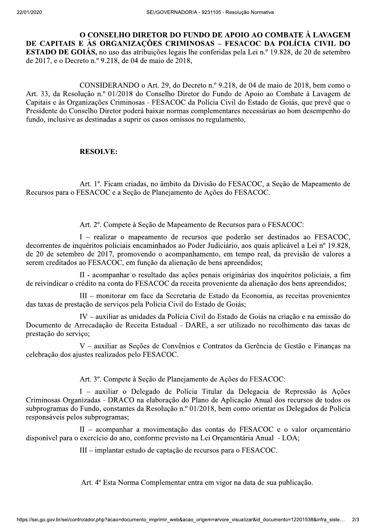O CONSELHO DIRETOR DO FUNDO DE APOIO AO COMBATE À LAVAGEM DE CAPITAIS E ÀS ORGANIZAÇÕES CRIMINOSAS – FESACOC DA POLÍCIA CIVIL DO **ESTADO DE GOIÁS**, no uso das atribuições legais lhe conferidas pela Lei n.º 19.828, de 20 de setembro de 2017, e o Decreto n.º 9.218, de 04 de maio de 2018,

CONSIDERANDO o Art. 29, do Decreto n.º 9.218, de 04 de maio de 2018, bem como o Art. 33, da Resolução n.º 01/2018 do Conselho Diretor do Fundo de Apoio ao Combate à Lavagem de Capitais e às Organizações Criminosas - FESACOC da Polícia Civil do Estado de Goiás, que prevê que o Presidente do Conselho Diretor poderá baixar normas complementares necessárias ao bom desempenho do fundo, inclusive as destinadas a suprir os casos omissos no regulamento,

### **RESOLVE:**

Art. 1º. Ficam criadas, no âmbito da Divisão do FESACOC, a Seção de Mapeamento de Recursos para o FESACOC e a Secão de Planejamento de Ações do FESACOC.

Art. 2<sup>°</sup>. Compete à Seção de Mapeamento de Recursos para o FESACOC:

I - realizar o mapeamento de recursos que poderão ser destinados ao FESACOC, decorrentes de inquéritos policiais encaminhados ao Poder Judiciário, aos quais aplicável a Lei nº 19.828, de 20 de setembro de 2017, promovendo o acompanhamento, em tempo real, da previsão de valores a serem creditados ao FESACOC, em função da alienação de bens apreendidos;

II - acompanhar o resultado das ações penais originárias dos inquéritos policiais, a fim de reivindicar o crédito na conta do FESACOC da receita proveniente da alienação dos bens apreendidos;

III – monitorar em face da Secretaria de Estado da Economia, as receitas provenientes das taxas de prestação de serviços pela Polícia Civil do Estado de Goiás;

IV – auxiliar as unidades da Polícia Civil do Estado de Goiás na criação e na emissão do Documento de Arrecadação de Receita Estadual - DARE, a ser utilizado no recolhimento das taxas de prestação do serviço;

V - auxiliar as Seções de Convênios e Contratos da Gerência de Gestão e Finanças na celebração dos ajustes realizados pelo FESACOC.

Art. 3º. Compete à Seção de Planejamento de Ações do FESACOC:

I – auxiliar o Delegado de Polícia Titular da Delegacia de Repressão às Ações Criminosas Organizadas - DRACO na elaboração do Plano de Aplicação Anual dos recursos de todos os subprogramas do Fundo, constantes da Resolução n.º 01/2018, bem como orientar os Delegados de Polícia responsáveis pelos subprogramas;

II - acompanhar a movimentação das contas do FESACOC e o valor orçamentário disponível para o exercício do ano, conforme previsto na Lei Orçamentária Anual - LOA;

III – implantar estudo de captação de recursos para o FESACOC.

Art. 4º Esta Norma Complementar entra em vigor na data de sua publicação.